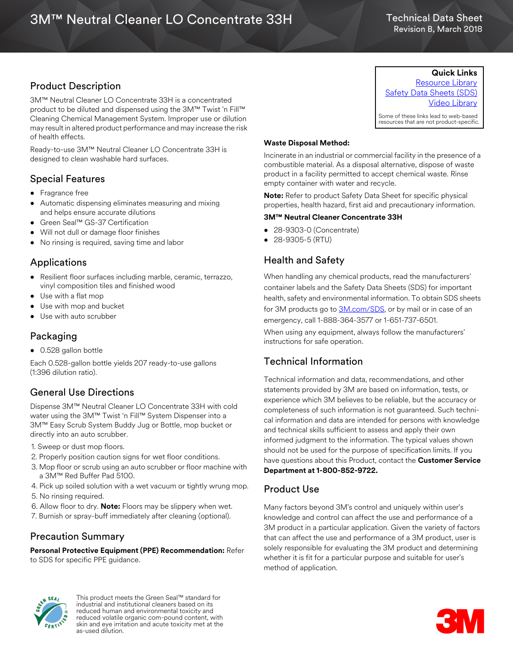### Technical Data Sheet Revision B, March 2018

# Product Description

3M™ Neutral Cleaner LO Concentrate 33H is a concentrated product to be diluted and dispensed using the 3M™ Twist 'n Fill™ Cleaning Chemical Management System. Improper use or dilution may result in altered product performance and may increase the risk of health effects.

Ready-to-use 3M™ Neutral Cleaner LO Concentrate 33H is designed to clean washable hard surfaces.

## Special Features

- Fragrance free
- Automatic dispensing eliminates measuring and mixing and helps ensure accurate dilutions
- Green Seal™ GS-37 Certification
- Will not dull or damage floor finishes
- No rinsing is required, saving time and labor

## Applications

- Resilient floor surfaces including marble, ceramic, terrazzo, vinyl composition tiles and finished wood
- Use with a flat mop
- Use with mop and bucket
- Use with auto scrubber

## Packaging

• 0.528 gallon bottle

Each 0.528-gallon bottle yields 207 ready-to-use gallons (1:396 dilution ratio).

# General Use Directions

Dispense 3M™ Neutral Cleaner LO Concentrate 33H with cold water using the 3M™ Twist 'n Fill™ System Dispenser into a 3M™ Easy Scrub System Buddy Jug or Bottle, mop bucket or directly into an auto scrubber.

- 1. Sweep or dust mop floors.
- 2. Properly position caution signs for wet floor conditions.
- 3. Mop floor or scrub using an auto scrubber or floor machine with a 3M™ Red Buffer Pad 5100.
- 4. Pick up soiled solution with a wet vacuum or tightly wrung mop. 5. No rinsing required.
- 6. Allow floor to dry. **Note:** Floors may be slippery when wet.
- 7. Burnish or spray-buff immediately after cleaning (optional).

### Precaution Summary

**Personal Protective Equipment (PPE) Recommendation:** Refer to SDS for specific PPE guidance.



This product meets the Green Seal™ standard for industrial and institutional cleaners based on its reduced human and environmental toxicity and reduced volatile organic com-pound content, with skin and eye irritation and acute toxicity met at the as-used dilution.

**Quick Links** [Resource Library](http://www.3m.com/3M/en_US/commercial-cleaning-us/resources/resource-library/#) [Safety Data Sheets \(SDS\)](http://www.3m.com/3M/en_US/company-us/SDS-search/?gsaAction=msdsSRA&type=ptn&msdsLocale=en_US) [Video Library](http://www.3m.com/3M/en_US/commercial-cleaning-us/resources/video-library/)

Some of these links lead to web-based resources that are not product-specific.

### **Waste Disposal Method:**

Incinerate in an industrial or commercial facility in the presence of a combustible material. As a disposal alternative, dispose of waste product in a facility permitted to accept chemical waste. Rinse empty container with water and recycle.

**Note:** Refer to product Safety Data Sheet for specific physical properties, health hazard, first aid and precautionary information.

#### **3M™ Neutral Cleaner Concentrate 33H**

- 28-9303-0 (Concentrate)
- 28-9305-5 (RTU)

# Health and Safety

When handling any chemical products, read the manufacturers' container labels and the Safety Data Sheets (SDS) for important health, safety and environmental information. To obtain SDS sheets for 3M products go to [3M.com/SDS,](http://www.3m.com/sds) or by mail or in case of an emergency, call 1-888-364-3577 or 1-651-737-6501. When using any equipment, always follow the manufacturers' instructions for safe operation.

# Technical Information

Technical information and data, recommendations, and other statements provided by 3M are based on information, tests, or experience which 3M believes to be reliable, but the accuracy or completeness of such information is not guaranteed. Such technical information and data are intended for persons with knowledge and technical skills sufficient to assess and apply their own informed judgment to the information. The typical values shown should not be used for the purpose of specification limits. If you have questions about this Product, contact the **Customer Service Department at 18008529722.**

### Product Use

Many factors beyond 3M's control and uniquely within user's knowledge and control can affect the use and performance of a 3M product in a particular application. Given the variety of factors that can affect the use and performance of a 3M product, user is solely responsible for evaluating the 3M product and determining whether it is fit for a particular purpose and suitable for user's method of application.